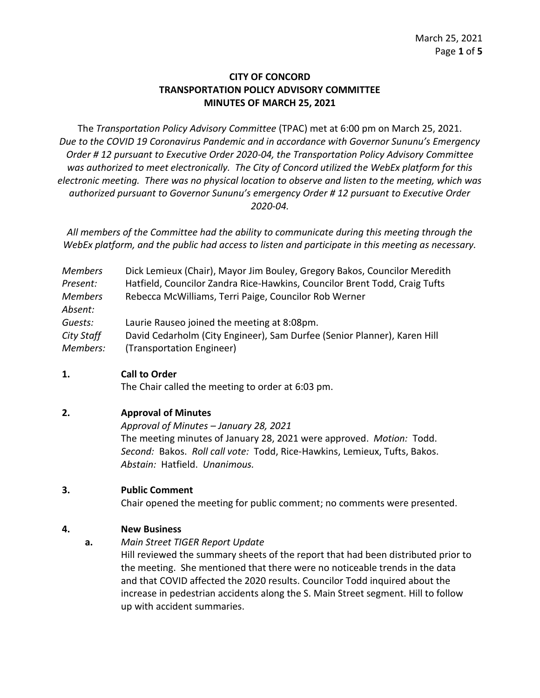# **CITY OF CONCORD TRANSPORTATION POLICY ADVISORY COMMITTEE MINUTES OF MARCH 25, 2021**

The *Transportation Policy Advisory Committee* (TPAC) met at 6:00 pm on March 25, 2021. *Due to the COVID 19 Coronavirus Pandemic and in accordance with Governor Sununu's Emergency Order # 12 pursuant to Executive Order 2020-04, the Transportation Policy Advisory Committee was authorized to meet electronically. The City of Concord utilized the WebEx platform for this electronic meeting. There was no physical location to observe and listen to the meeting, which was authorized pursuant to Governor Sununu's emergency Order # 12 pursuant to Executive Order 2020-04.*

*All members of the Committee had the ability to communicate during this meeting through the WebEx platform, and the public had access to listen and participate in this meeting as necessary.*

| <b>Members</b> | Dick Lemieux (Chair), Mayor Jim Bouley, Gregory Bakos, Councilor Meredith  |
|----------------|----------------------------------------------------------------------------|
| Present:       | Hatfield, Councilor Zandra Rice-Hawkins, Councilor Brent Todd, Craig Tufts |
| <b>Members</b> | Rebecca McWilliams, Terri Paige, Councilor Rob Werner                      |
| Absent:        |                                                                            |
| Guests:        | Laurie Rauseo joined the meeting at 8:08pm.                                |
| City Staff     | David Cedarholm (City Engineer), Sam Durfee (Senior Planner), Karen Hill   |
| Members:       | (Transportation Engineer)                                                  |

#### **1. Call to Order**

The Chair called the meeting to order at 6:03 pm.

# **2. Approval of Minutes**

*Approval of Minutes – January 28, 2021*

The meeting minutes of January 28, 2021 were approved. *Motion:* Todd. *Second:* Bakos. *Roll call vote:* Todd, Rice-Hawkins, Lemieux, Tufts, Bakos. *Abstain:* Hatfield. *Unanimous.* 

# **3. Public Comment**

Chair opened the meeting for public comment; no comments were presented.

# **4. New Business**

**a.** *Main Street TIGER Report Update*

Hill reviewed the summary sheets of the report that had been distributed prior to the meeting. She mentioned that there were no noticeable trends in the data and that COVID affected the 2020 results. Councilor Todd inquired about the increase in pedestrian accidents along the S. Main Street segment. Hill to follow up with accident summaries.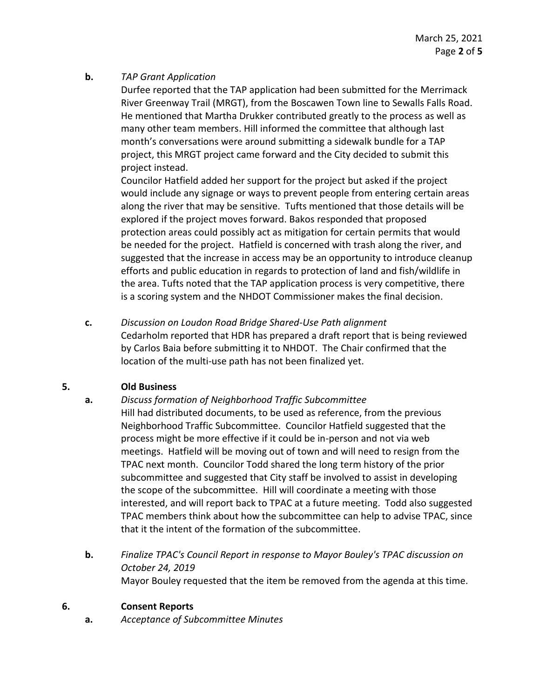#### **b.** *TAP Grant Application*

Durfee reported that the TAP application had been submitted for the Merrimack River Greenway Trail (MRGT), from the Boscawen Town line to Sewalls Falls Road. He mentioned that Martha Drukker contributed greatly to the process as well as many other team members. Hill informed the committee that although last month's conversations were around submitting a sidewalk bundle for a TAP project, this MRGT project came forward and the City decided to submit this project instead.

Councilor Hatfield added her support for the project but asked if the project would include any signage or ways to prevent people from entering certain areas along the river that may be sensitive. Tufts mentioned that those details will be explored if the project moves forward. Bakos responded that proposed protection areas could possibly act as mitigation for certain permits that would be needed for the project. Hatfield is concerned with trash along the river, and suggested that the increase in access may be an opportunity to introduce cleanup efforts and public education in regards to protection of land and fish/wildlife in the area. Tufts noted that the TAP application process is very competitive, there is a scoring system and the NHDOT Commissioner makes the final decision.

**c.** *Discussion on Loudon Road Bridge Shared-Use Path alignment* Cedarholm reported that HDR has prepared a draft report that is being reviewed by Carlos Baia before submitting it to NHDOT. The Chair confirmed that the location of the multi-use path has not been finalized yet.

# **5. Old Business**

- **a.** *Discuss formation of Neighborhood Traffic Subcommittee* Hill had distributed documents, to be used as reference, from the previous Neighborhood Traffic Subcommittee. Councilor Hatfield suggested that the process might be more effective if it could be in-person and not via web meetings. Hatfield will be moving out of town and will need to resign from the TPAC next month. Councilor Todd shared the long term history of the prior subcommittee and suggested that City staff be involved to assist in developing the scope of the subcommittee. Hill will coordinate a meeting with those interested, and will report back to TPAC at a future meeting. Todd also suggested TPAC members think about how the subcommittee can help to advise TPAC, since that it the intent of the formation of the subcommittee.
- **b.** *Finalize TPAC's Council Report in response to Mayor Bouley's TPAC discussion on October 24, 2019*  Mayor Bouley requested that the item be removed from the agenda at this time.

#### **6. Consent Reports**

**a.** *Acceptance of Subcommittee Minutes*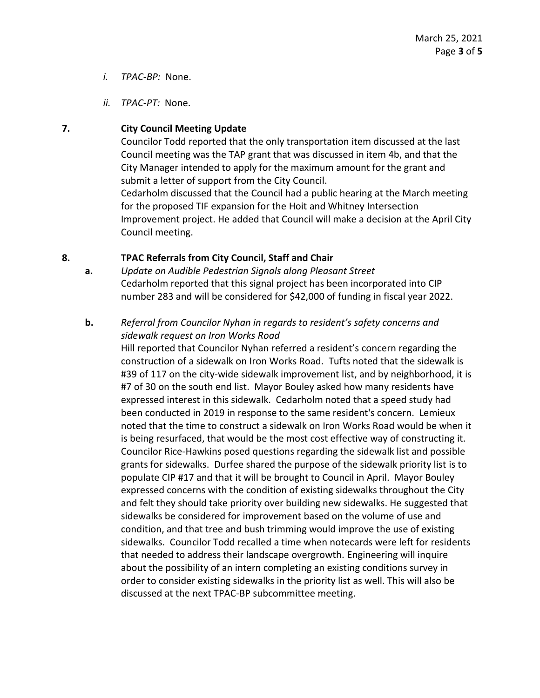- *i. TPAC-BP:* None.
- *ii. TPAC-PT:* None.

# **7. City Council Meeting Update**

Councilor Todd reported that the only transportation item discussed at the last Council meeting was the TAP grant that was discussed in item 4b, and that the City Manager intended to apply for the maximum amount for the grant and submit a letter of support from the City Council.

Cedarholm discussed that the Council had a public hearing at the March meeting for the proposed TIF expansion for the Hoit and Whitney Intersection Improvement project. He added that Council will make a decision at the April City Council meeting.

### **8. TPAC Referrals from City Council, Staff and Chair**

**a.** *Update on Audible Pedestrian Signals along Pleasant Street* Cedarholm reported that this signal project has been incorporated into CIP number 283 and will be considered for \$42,000 of funding in fiscal year 2022.

# **b.** *Referral from Councilor Nyhan in regards to resident's safety concerns and sidewalk request on Iron Works Road*

Hill reported that Councilor Nyhan referred a resident's concern regarding the construction of a sidewalk on Iron Works Road. Tufts noted that the sidewalk is #39 of 117 on the city-wide sidewalk improvement list, and by neighborhood, it is #7 of 30 on the south end list. Mayor Bouley asked how many residents have expressed interest in this sidewalk. Cedarholm noted that a speed study had been conducted in 2019 in response to the same resident's concern. Lemieux noted that the time to construct a sidewalk on Iron Works Road would be when it is being resurfaced, that would be the most cost effective way of constructing it. Councilor Rice-Hawkins posed questions regarding the sidewalk list and possible grants for sidewalks. Durfee shared the purpose of the sidewalk priority list is to populate CIP #17 and that it will be brought to Council in April. Mayor Bouley expressed concerns with the condition of existing sidewalks throughout the City and felt they should take priority over building new sidewalks. He suggested that sidewalks be considered for improvement based on the volume of use and condition, and that tree and bush trimming would improve the use of existing sidewalks. Councilor Todd recalled a time when notecards were left for residents that needed to address their landscape overgrowth. Engineering will inquire about the possibility of an intern completing an existing conditions survey in order to consider existing sidewalks in the priority list as well. This will also be discussed at the next TPAC-BP subcommittee meeting.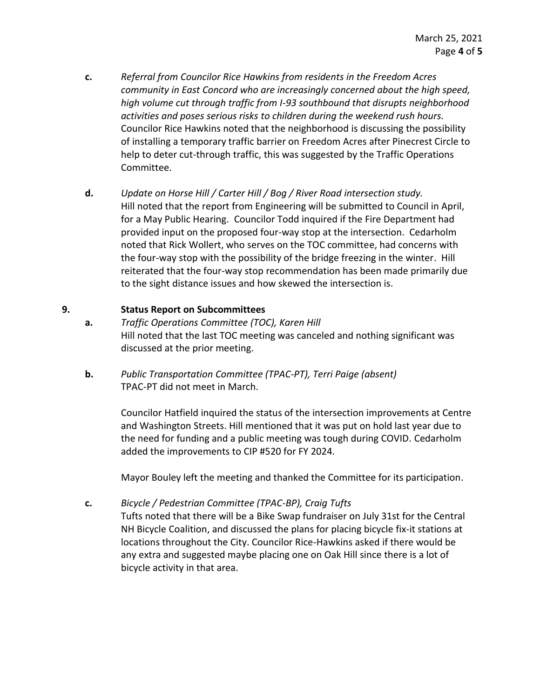- **c.** *Referral from Councilor Rice Hawkins from residents in the Freedom Acres community in East Concord who are increasingly concerned about the high speed, high volume cut through traffic from I-93 southbound that disrupts neighborhood activities and poses serious risks to children during the weekend rush hours.* Councilor Rice Hawkins noted that the neighborhood is discussing the possibility of installing a temporary traffic barrier on Freedom Acres after Pinecrest Circle to help to deter cut-through traffic, this was suggested by the Traffic Operations Committee.
- **d.** *Update on Horse Hill / Carter Hill / Bog / River Road intersection study.*  Hill noted that the report from Engineering will be submitted to Council in April, for a May Public Hearing. Councilor Todd inquired if the Fire Department had provided input on the proposed four-way stop at the intersection. Cedarholm noted that Rick Wollert, who serves on the TOC committee, had concerns with the four-way stop with the possibility of the bridge freezing in the winter. Hill reiterated that the four-way stop recommendation has been made primarily due to the sight distance issues and how skewed the intersection is.

#### **9. Status Report on Subcommittees**

- **a.** *Traffic Operations Committee (TOC), Karen Hill* Hill noted that the last TOC meeting was canceled and nothing significant was discussed at the prior meeting.
- **b.** *Public Transportation Committee (TPAC-PT), Terri Paige (absent)* TPAC-PT did not meet in March.

Councilor Hatfield inquired the status of the intersection improvements at Centre and Washington Streets. Hill mentioned that it was put on hold last year due to the need for funding and a public meeting was tough during COVID. Cedarholm added the improvements to CIP #520 for FY 2024.

Mayor Bouley left the meeting and thanked the Committee for its participation.

**c.** *Bicycle / Pedestrian Committee (TPAC-BP), Craig Tufts* 

Tufts noted that there will be a Bike Swap fundraiser on July 31st for the Central NH Bicycle Coalition, and discussed the plans for placing bicycle fix-it stations at locations throughout the City. Councilor Rice-Hawkins asked if there would be any extra and suggested maybe placing one on Oak Hill since there is a lot of bicycle activity in that area.